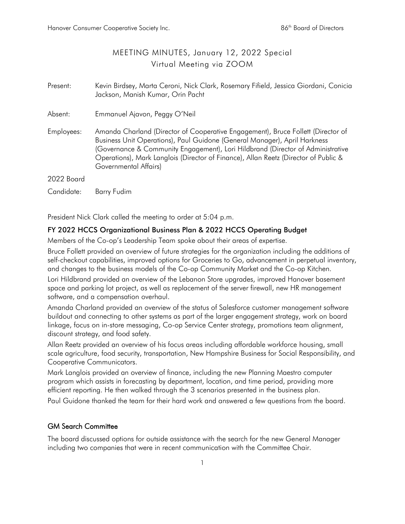## MEETING MINUTES, January 12, 2022 Special Virtual Meeting via ZOOM

| Present:   | Kevin Birdsey, Marta Ceroni, Nick Clark, Rosemary Fifield, Jessica Giordani, Conicia<br>Jackson, Manish Kumar, Orin Pacht                                                                                                                                                                                                                                        |
|------------|------------------------------------------------------------------------------------------------------------------------------------------------------------------------------------------------------------------------------------------------------------------------------------------------------------------------------------------------------------------|
| Absent:    | Emmanuel Ajavon, Peggy O'Neil                                                                                                                                                                                                                                                                                                                                    |
| Employees: | Amanda Charland (Director of Cooperative Engagement), Bruce Follett (Director of<br>Business Unit Operations), Paul Guidone (General Manager), April Harkness<br>(Governance & Community Engagement), Lori Hildbrand (Director of Administrative<br>Operations), Mark Langlois (Director of Finance), Allan Reetz (Director of Public &<br>Governmental Affairs) |
| 2022 Board |                                                                                                                                                                                                                                                                                                                                                                  |
| Candidate: | Barry Fudim                                                                                                                                                                                                                                                                                                                                                      |

President Nick Clark called the meeting to order at 5:04 p.m.

## FY 2022 HCCS Organizational Business Plan & 2022 HCCS Operating Budget

Members of the Co-op's Leadership Team spoke about their areas of expertise.

Bruce Follett provided an overview of future strategies for the organization including the additions of self-checkout capabilities, improved options for Groceries to Go, advancement in perpetual inventory, and changes to the business models of the Co-op Community Market and the Co-op Kitchen.

Lori Hildbrand provided an overview of the Lebanon Store upgrades, improved Hanover basement space and parking lot project, as well as replacement of the server firewall, new HR management software, and a compensation overhaul.

Amanda Charland provided an overview of the status of Salesforce customer management software buildout and connecting to other systems as part of the larger engagement strategy, work on board linkage, focus on in-store messaging, Co-op Service Center strategy, promotions team alignment, discount strategy, and food safety.

Allan Reetz provided an overview of his focus areas including affordable workforce housing, small scale agriculture, food security, transportation, New Hampshire Business for Social Responsibility, and Cooperative Communicators.

Mark Langlois provided an overview of finance, including the new Planning Maestro computer program which assists in forecasting by department, location, and time period, providing more efficient reporting. He then walked through the 3 scenarios presented in the business plan.

Paul Guidone thanked the team for their hard work and answered a few questions from the board.

## GM Search Committee

The board discussed options for outside assistance with the search for the new General Manager including two companies that were in recent communication with the Committee Chair.